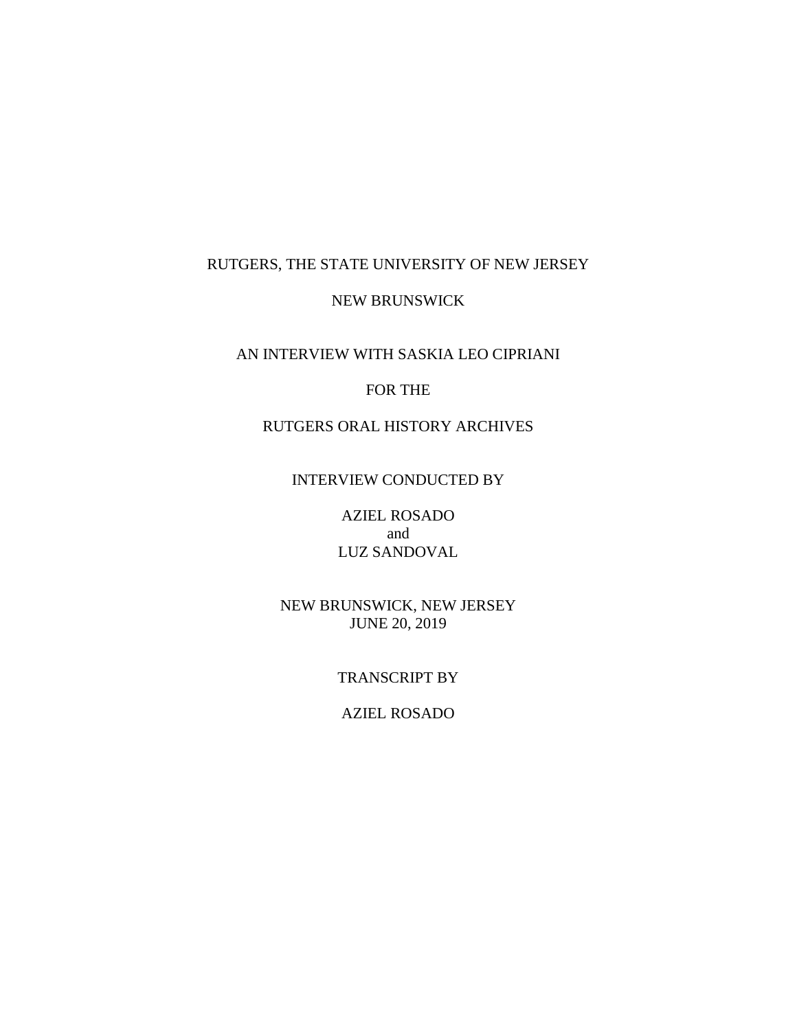# RUTGERS, THE STATE UNIVERSITY OF NEW JERSEY

## NEW BRUNSWICK

## AN INTERVIEW WITH SASKIA LEO CIPRIANI

## FOR THE

# RUTGERS ORAL HISTORY ARCHIVES

## INTERVIEW CONDUCTED BY

AZIEL ROSADO and LUZ SANDOVAL

NEW BRUNSWICK, NEW JERSEY JUNE 20, 2019

### TRANSCRIPT BY

AZIEL ROSADO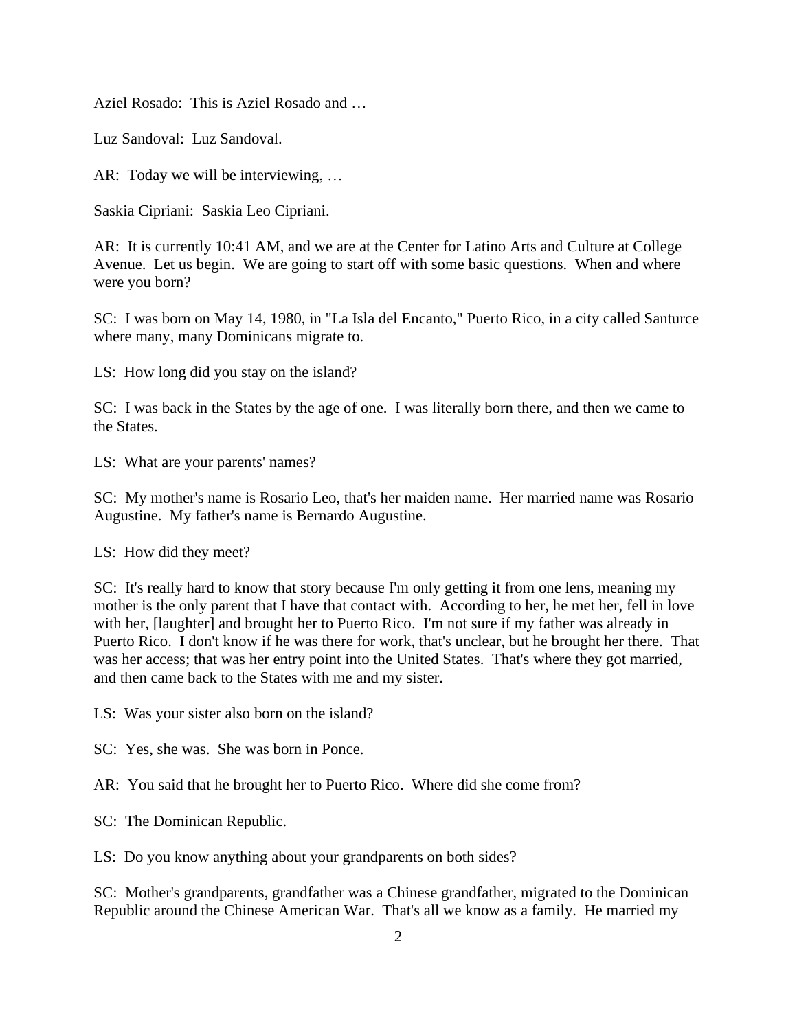Aziel Rosado: This is Aziel Rosado and …

Luz Sandoval: Luz Sandoval.

AR: Today we will be interviewing, …

Saskia Cipriani: Saskia Leo Cipriani.

AR: It is currently 10:41 AM, and we are at the Center for Latino Arts and Culture at College Avenue. Let us begin. We are going to start off with some basic questions. When and where were you born?

SC: I was born on May 14, 1980, in "La Isla del Encanto," Puerto Rico, in a city called Santurce where many, many Dominicans migrate to.

LS: How long did you stay on the island?

SC: I was back in the States by the age of one. I was literally born there, and then we came to the States.

LS: What are your parents' names?

SC: My mother's name is Rosario Leo, that's her maiden name. Her married name was Rosario Augustine. My father's name is Bernardo Augustine.

LS: How did they meet?

SC: It's really hard to know that story because I'm only getting it from one lens, meaning my mother is the only parent that I have that contact with. According to her, he met her, fell in love with her, [laughter] and brought her to Puerto Rico. I'm not sure if my father was already in Puerto Rico. I don't know if he was there for work, that's unclear, but he brought her there. That was her access; that was her entry point into the United States. That's where they got married, and then came back to the States with me and my sister.

LS: Was your sister also born on the island?

SC: Yes, she was. She was born in Ponce.

AR: You said that he brought her to Puerto Rico. Where did she come from?

SC: The Dominican Republic.

LS: Do you know anything about your grandparents on both sides?

SC: Mother's grandparents, grandfather was a Chinese grandfather, migrated to the Dominican Republic around the Chinese American War. That's all we know as a family. He married my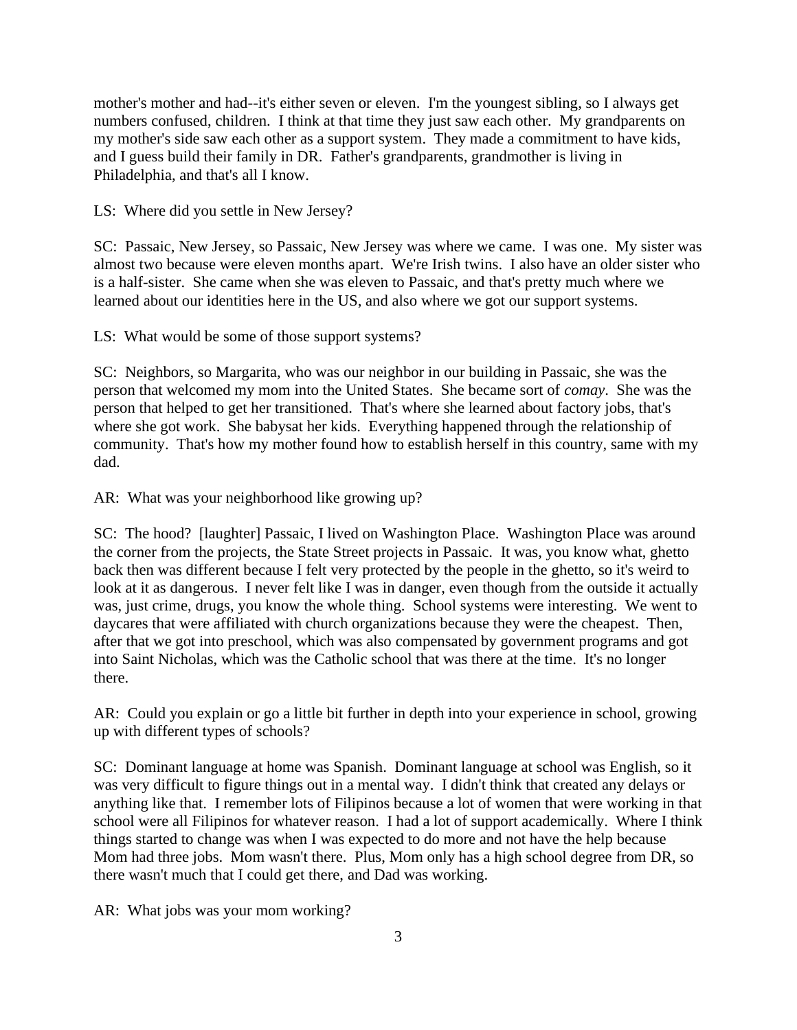mother's mother and had--it's either seven or eleven. I'm the youngest sibling, so I always get numbers confused, children. I think at that time they just saw each other. My grandparents on my mother's side saw each other as a support system. They made a commitment to have kids, and I guess build their family in DR. Father's grandparents, grandmother is living in Philadelphia, and that's all I know.

LS: Where did you settle in New Jersey?

SC: Passaic, New Jersey, so Passaic, New Jersey was where we came. I was one. My sister was almost two because were eleven months apart. We're Irish twins. I also have an older sister who is a half-sister. She came when she was eleven to Passaic, and that's pretty much where we learned about our identities here in the US, and also where we got our support systems.

LS: What would be some of those support systems?

SC: Neighbors, so Margarita, who was our neighbor in our building in Passaic, she was the person that welcomed my mom into the United States. She became sort of *comay*. She was the person that helped to get her transitioned. That's where she learned about factory jobs, that's where she got work. She babysat her kids. Everything happened through the relationship of community. That's how my mother found how to establish herself in this country, same with my dad.

AR: What was your neighborhood like growing up?

SC: The hood? [laughter] Passaic, I lived on Washington Place. Washington Place was around the corner from the projects, the State Street projects in Passaic. It was, you know what, ghetto back then was different because I felt very protected by the people in the ghetto, so it's weird to look at it as dangerous. I never felt like I was in danger, even though from the outside it actually was, just crime, drugs, you know the whole thing. School systems were interesting. We went to daycares that were affiliated with church organizations because they were the cheapest. Then, after that we got into preschool, which was also compensated by government programs and got into Saint Nicholas, which was the Catholic school that was there at the time. It's no longer there.

AR: Could you explain or go a little bit further in depth into your experience in school, growing up with different types of schools?

SC: Dominant language at home was Spanish. Dominant language at school was English, so it was very difficult to figure things out in a mental way. I didn't think that created any delays or anything like that. I remember lots of Filipinos because a lot of women that were working in that school were all Filipinos for whatever reason. I had a lot of support academically. Where I think things started to change was when I was expected to do more and not have the help because Mom had three jobs. Mom wasn't there. Plus, Mom only has a high school degree from DR, so there wasn't much that I could get there, and Dad was working.

AR: What jobs was your mom working?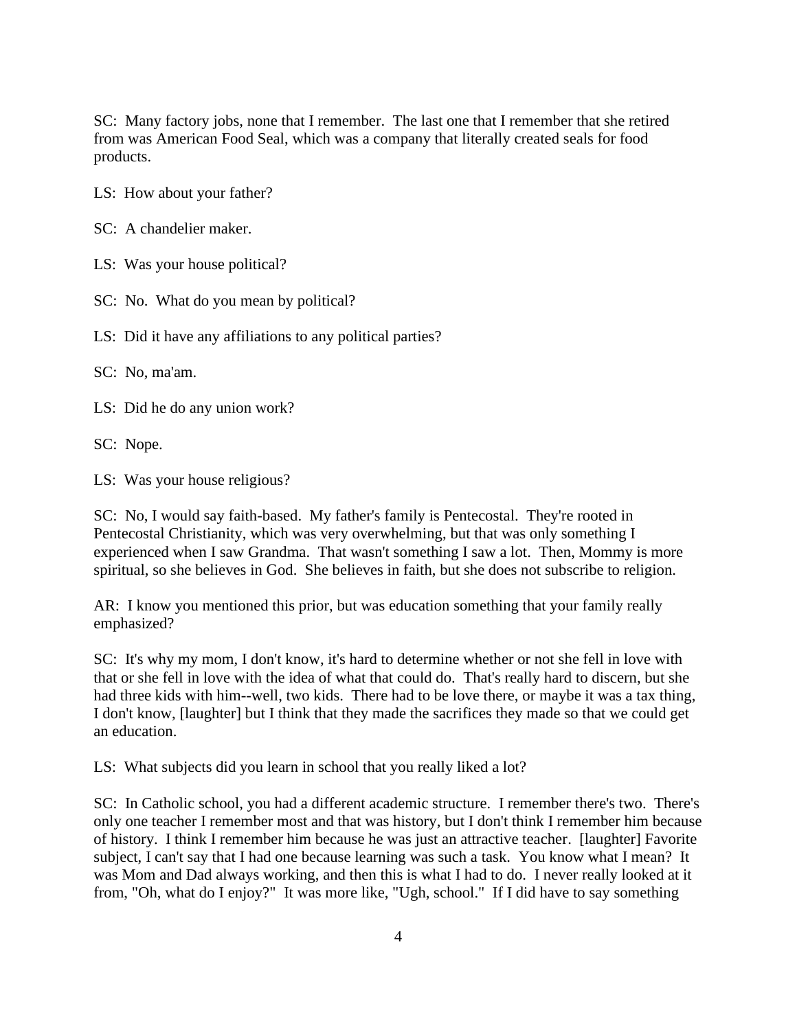SC: Many factory jobs, none that I remember. The last one that I remember that she retired from was American Food Seal, which was a company that literally created seals for food products.

LS: How about your father?

SC: A chandelier maker.

LS: Was your house political?

SC: No. What do you mean by political?

LS: Did it have any affiliations to any political parties?

SC: No, ma'am.

LS: Did he do any union work?

SC: Nope.

LS: Was your house religious?

SC: No, I would say faith-based. My father's family is Pentecostal. They're rooted in Pentecostal Christianity, which was very overwhelming, but that was only something I experienced when I saw Grandma. That wasn't something I saw a lot. Then, Mommy is more spiritual, so she believes in God. She believes in faith, but she does not subscribe to religion.

AR: I know you mentioned this prior, but was education something that your family really emphasized?

SC: It's why my mom, I don't know, it's hard to determine whether or not she fell in love with that or she fell in love with the idea of what that could do. That's really hard to discern, but she had three kids with him--well, two kids. There had to be love there, or maybe it was a tax thing, I don't know, [laughter] but I think that they made the sacrifices they made so that we could get an education.

LS: What subjects did you learn in school that you really liked a lot?

SC: In Catholic school, you had a different academic structure. I remember there's two. There's only one teacher I remember most and that was history, but I don't think I remember him because of history. I think I remember him because he was just an attractive teacher. [laughter] Favorite subject, I can't say that I had one because learning was such a task. You know what I mean? It was Mom and Dad always working, and then this is what I had to do. I never really looked at it from, "Oh, what do I enjoy?" It was more like, "Ugh, school." If I did have to say something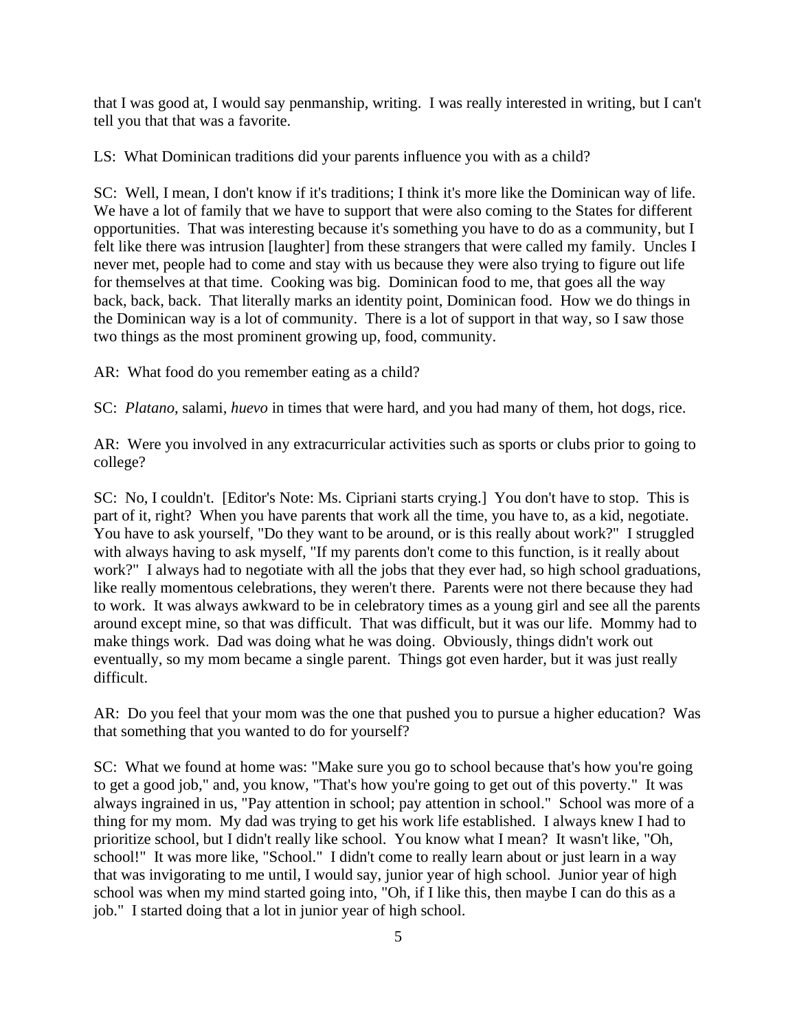that I was good at, I would say penmanship, writing. I was really interested in writing, but I can't tell you that that was a favorite.

LS: What Dominican traditions did your parents influence you with as a child?

SC: Well, I mean, I don't know if it's traditions; I think it's more like the Dominican way of life. We have a lot of family that we have to support that were also coming to the States for different opportunities. That was interesting because it's something you have to do as a community, but I felt like there was intrusion [laughter] from these strangers that were called my family. Uncles I never met, people had to come and stay with us because they were also trying to figure out life for themselves at that time. Cooking was big. Dominican food to me, that goes all the way back, back, back. That literally marks an identity point, Dominican food. How we do things in the Dominican way is a lot of community. There is a lot of support in that way, so I saw those two things as the most prominent growing up, food, community.

AR: What food do you remember eating as a child?

SC: *Platano*, salami, *huevo* in times that were hard, and you had many of them, hot dogs, rice.

AR: Were you involved in any extracurricular activities such as sports or clubs prior to going to college?

SC: No, I couldn't. [Editor's Note: Ms. Cipriani starts crying.] You don't have to stop. This is part of it, right? When you have parents that work all the time, you have to, as a kid, negotiate. You have to ask yourself, "Do they want to be around, or is this really about work?" I struggled with always having to ask myself, "If my parents don't come to this function, is it really about work?" I always had to negotiate with all the jobs that they ever had, so high school graduations, like really momentous celebrations, they weren't there. Parents were not there because they had to work. It was always awkward to be in celebratory times as a young girl and see all the parents around except mine, so that was difficult. That was difficult, but it was our life. Mommy had to make things work. Dad was doing what he was doing. Obviously, things didn't work out eventually, so my mom became a single parent. Things got even harder, but it was just really difficult.

AR: Do you feel that your mom was the one that pushed you to pursue a higher education? Was that something that you wanted to do for yourself?

SC: What we found at home was: "Make sure you go to school because that's how you're going to get a good job," and, you know, "That's how you're going to get out of this poverty." It was always ingrained in us, "Pay attention in school; pay attention in school." School was more of a thing for my mom. My dad was trying to get his work life established. I always knew I had to prioritize school, but I didn't really like school. You know what I mean? It wasn't like, "Oh, school!" It was more like, "School." I didn't come to really learn about or just learn in a way that was invigorating to me until, I would say, junior year of high school. Junior year of high school was when my mind started going into, "Oh, if I like this, then maybe I can do this as a job." I started doing that a lot in junior year of high school.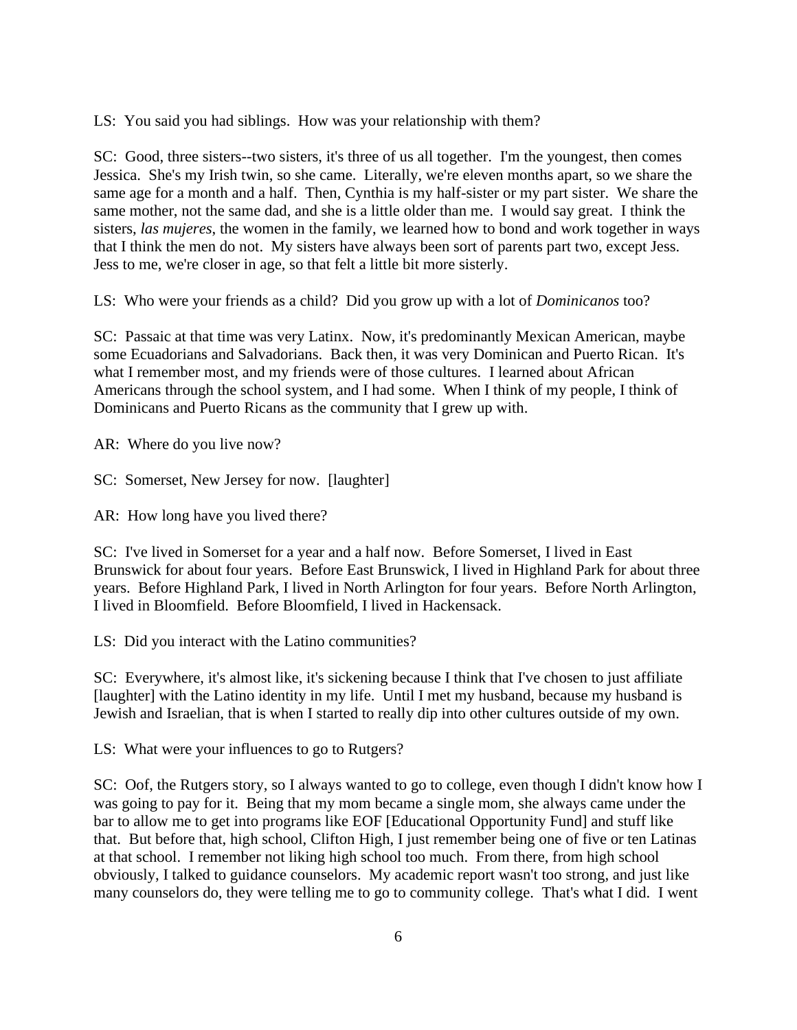LS: You said you had siblings. How was your relationship with them?

SC: Good, three sisters--two sisters, it's three of us all together. I'm the youngest, then comes Jessica. She's my Irish twin, so she came. Literally, we're eleven months apart, so we share the same age for a month and a half. Then, Cynthia is my half-sister or my part sister. We share the same mother, not the same dad, and she is a little older than me. I would say great. I think the sisters, *las mujeres*, the women in the family, we learned how to bond and work together in ways that I think the men do not. My sisters have always been sort of parents part two, except Jess. Jess to me, we're closer in age, so that felt a little bit more sisterly.

LS: Who were your friends as a child? Did you grow up with a lot of *Dominicanos* too?

SC: Passaic at that time was very Latinx. Now, it's predominantly Mexican American, maybe some Ecuadorians and Salvadorians. Back then, it was very Dominican and Puerto Rican. It's what I remember most, and my friends were of those cultures. I learned about African Americans through the school system, and I had some. When I think of my people, I think of Dominicans and Puerto Ricans as the community that I grew up with.

AR: Where do you live now?

SC: Somerset, New Jersey for now. [laughter]

AR: How long have you lived there?

SC: I've lived in Somerset for a year and a half now. Before Somerset, I lived in East Brunswick for about four years. Before East Brunswick, I lived in Highland Park for about three years. Before Highland Park, I lived in North Arlington for four years. Before North Arlington, I lived in Bloomfield. Before Bloomfield, I lived in Hackensack.

LS: Did you interact with the Latino communities?

SC: Everywhere, it's almost like, it's sickening because I think that I've chosen to just affiliate [laughter] with the Latino identity in my life. Until I met my husband, because my husband is Jewish and Israelian, that is when I started to really dip into other cultures outside of my own.

LS: What were your influences to go to Rutgers?

SC: Oof, the Rutgers story, so I always wanted to go to college, even though I didn't know how I was going to pay for it. Being that my mom became a single mom, she always came under the bar to allow me to get into programs like EOF [Educational Opportunity Fund] and stuff like that. But before that, high school, Clifton High, I just remember being one of five or ten Latinas at that school. I remember not liking high school too much. From there, from high school obviously, I talked to guidance counselors. My academic report wasn't too strong, and just like many counselors do, they were telling me to go to community college. That's what I did. I went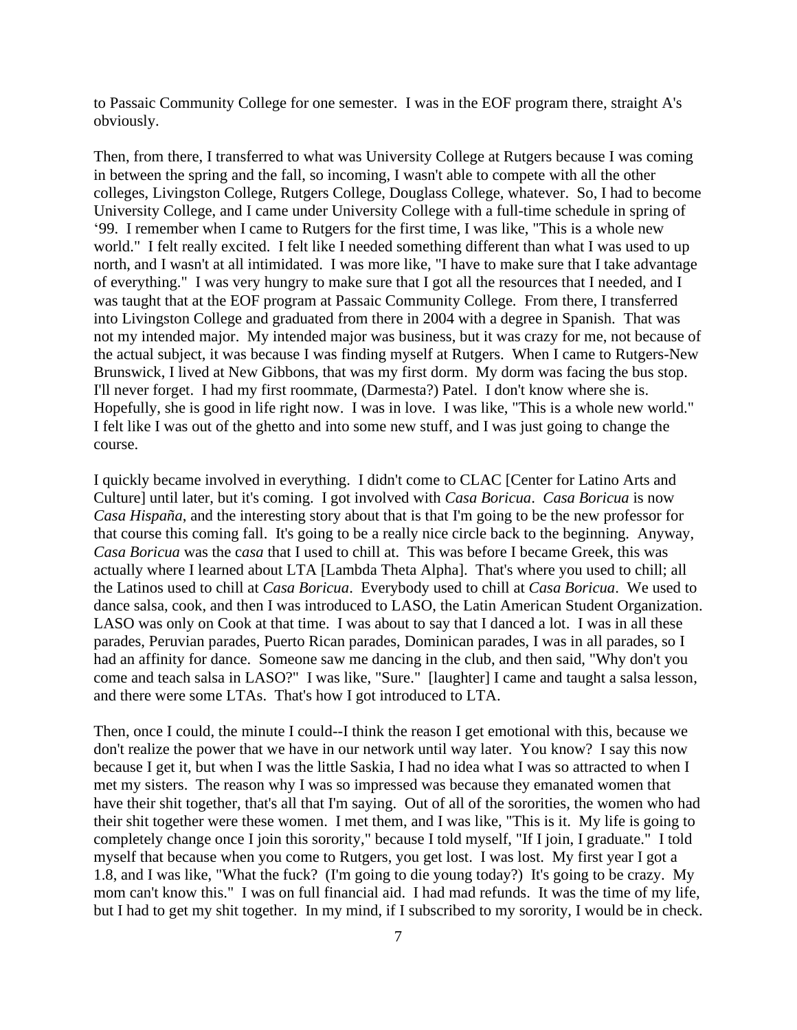to Passaic Community College for one semester. I was in the EOF program there, straight A's obviously.

Then, from there, I transferred to what was University College at Rutgers because I was coming in between the spring and the fall, so incoming, I wasn't able to compete with all the other colleges, Livingston College, Rutgers College, Douglass College, whatever. So, I had to become University College, and I came under University College with a full-time schedule in spring of '99. I remember when I came to Rutgers for the first time, I was like, "This is a whole new world." I felt really excited. I felt like I needed something different than what I was used to up north, and I wasn't at all intimidated. I was more like, "I have to make sure that I take advantage of everything." I was very hungry to make sure that I got all the resources that I needed, and I was taught that at the EOF program at Passaic Community College. From there, I transferred into Livingston College and graduated from there in 2004 with a degree in Spanish. That was not my intended major. My intended major was business, but it was crazy for me, not because of the actual subject, it was because I was finding myself at Rutgers. When I came to Rutgers-New Brunswick, I lived at New Gibbons, that was my first dorm. My dorm was facing the bus stop. I'll never forget. I had my first roommate, (Darmesta?) Patel. I don't know where she is. Hopefully, she is good in life right now. I was in love. I was like, "This is a whole new world." I felt like I was out of the ghetto and into some new stuff, and I was just going to change the course.

I quickly became involved in everything. I didn't come to CLAC [Center for Latino Arts and Culture] until later, but it's coming. I got involved with *Casa Boricua*. *Casa Boricua* is now *Casa Hispaña*, and the interesting story about that is that I'm going to be the new professor for that course this coming fall. It's going to be a really nice circle back to the beginning. Anyway, *Casa Boricua* was the c*asa* that I used to chill at. This was before I became Greek, this was actually where I learned about LTA [Lambda Theta Alpha]. That's where you used to chill; all the Latinos used to chill at *Casa Boricua*. Everybody used to chill at *Casa Boricua*. We used to dance salsa, cook, and then I was introduced to LASO, the Latin American Student Organization. LASO was only on Cook at that time. I was about to say that I danced a lot. I was in all these parades, Peruvian parades, Puerto Rican parades, Dominican parades, I was in all parades, so I had an affinity for dance. Someone saw me dancing in the club, and then said, "Why don't you come and teach salsa in LASO?" I was like, "Sure." [laughter] I came and taught a salsa lesson, and there were some LTAs. That's how I got introduced to LTA.

Then, once I could, the minute I could--I think the reason I get emotional with this, because we don't realize the power that we have in our network until way later. You know? I say this now because I get it, but when I was the little Saskia, I had no idea what I was so attracted to when I met my sisters. The reason why I was so impressed was because they emanated women that have their shit together, that's all that I'm saying. Out of all of the sororities, the women who had their shit together were these women. I met them, and I was like, "This is it. My life is going to completely change once I join this sorority," because I told myself, "If I join, I graduate." I told myself that because when you come to Rutgers, you get lost. I was lost. My first year I got a 1.8, and I was like, "What the fuck? (I'm going to die young today?) It's going to be crazy. My mom can't know this." I was on full financial aid. I had mad refunds. It was the time of my life, but I had to get my shit together. In my mind, if I subscribed to my sorority, I would be in check.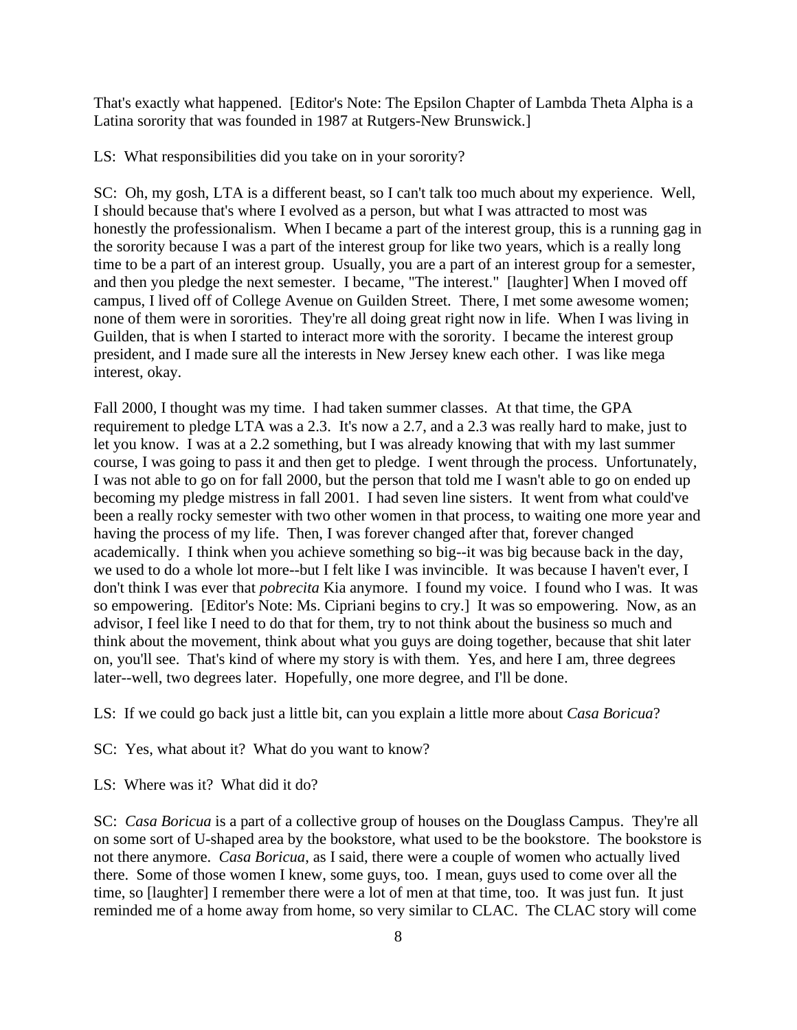That's exactly what happened. [Editor's Note: The Epsilon Chapter of Lambda Theta Alpha is a Latina sorority that was founded in 1987 at Rutgers-New Brunswick.]

LS: What responsibilities did you take on in your sorority?

SC: Oh, my gosh, LTA is a different beast, so I can't talk too much about my experience. Well, I should because that's where I evolved as a person, but what I was attracted to most was honestly the professionalism. When I became a part of the interest group, this is a running gag in the sorority because I was a part of the interest group for like two years, which is a really long time to be a part of an interest group. Usually, you are a part of an interest group for a semester, and then you pledge the next semester. I became, "The interest." [laughter] When I moved off campus, I lived off of College Avenue on Guilden Street. There, I met some awesome women; none of them were in sororities. They're all doing great right now in life. When I was living in Guilden, that is when I started to interact more with the sorority. I became the interest group president, and I made sure all the interests in New Jersey knew each other. I was like mega interest, okay.

Fall 2000, I thought was my time. I had taken summer classes. At that time, the GPA requirement to pledge LTA was a 2.3. It's now a 2.7, and a 2.3 was really hard to make, just to let you know. I was at a 2.2 something, but I was already knowing that with my last summer course, I was going to pass it and then get to pledge. I went through the process. Unfortunately, I was not able to go on for fall 2000, but the person that told me I wasn't able to go on ended up becoming my pledge mistress in fall 2001. I had seven line sisters. It went from what could've been a really rocky semester with two other women in that process, to waiting one more year and having the process of my life. Then, I was forever changed after that, forever changed academically. I think when you achieve something so big--it was big because back in the day, we used to do a whole lot more--but I felt like I was invincible. It was because I haven't ever, I don't think I was ever that *pobrecita* Kia anymore. I found my voice. I found who I was. It was so empowering. [Editor's Note: Ms. Cipriani begins to cry.] It was so empowering. Now, as an advisor, I feel like I need to do that for them, try to not think about the business so much and think about the movement, think about what you guys are doing together, because that shit later on, you'll see. That's kind of where my story is with them. Yes, and here I am, three degrees later--well, two degrees later. Hopefully, one more degree, and I'll be done.

LS: If we could go back just a little bit, can you explain a little more about *Casa Boricua*?

SC: Yes, what about it? What do you want to know?

LS: Where was it? What did it do?

SC: *Casa Boricua* is a part of a collective group of houses on the Douglass Campus. They're all on some sort of U-shaped area by the bookstore, what used to be the bookstore. The bookstore is not there anymore. *Casa Boricua*, as I said, there were a couple of women who actually lived there. Some of those women I knew, some guys, too. I mean, guys used to come over all the time, so [laughter] I remember there were a lot of men at that time, too. It was just fun. It just reminded me of a home away from home, so very similar to CLAC. The CLAC story will come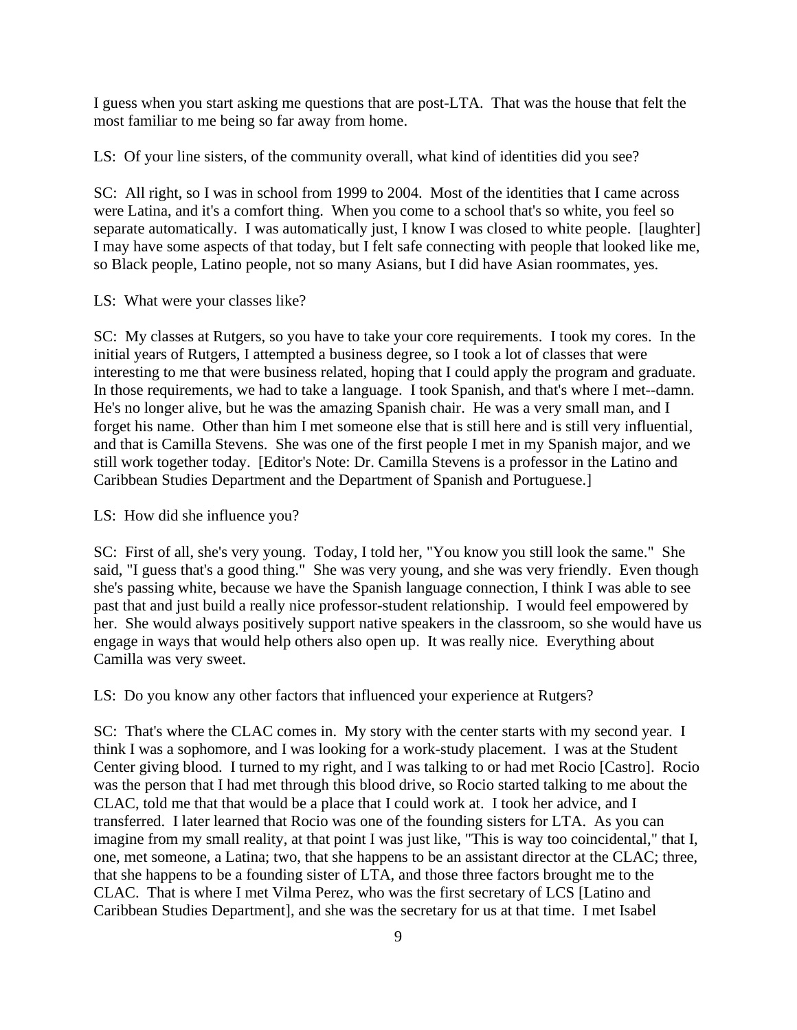I guess when you start asking me questions that are post-LTA. That was the house that felt the most familiar to me being so far away from home.

LS: Of your line sisters, of the community overall, what kind of identities did you see?

SC: All right, so I was in school from 1999 to 2004. Most of the identities that I came across were Latina, and it's a comfort thing. When you come to a school that's so white, you feel so separate automatically. I was automatically just, I know I was closed to white people. [laughter] I may have some aspects of that today, but I felt safe connecting with people that looked like me, so Black people, Latino people, not so many Asians, but I did have Asian roommates, yes.

LS: What were your classes like?

SC: My classes at Rutgers, so you have to take your core requirements. I took my cores. In the initial years of Rutgers, I attempted a business degree, so I took a lot of classes that were interesting to me that were business related, hoping that I could apply the program and graduate. In those requirements, we had to take a language. I took Spanish, and that's where I met--damn. He's no longer alive, but he was the amazing Spanish chair. He was a very small man, and I forget his name. Other than him I met someone else that is still here and is still very influential, and that is Camilla Stevens. She was one of the first people I met in my Spanish major, and we still work together today. [Editor's Note: Dr. Camilla Stevens is a professor in the Latino and Caribbean Studies Department and the Department of Spanish and Portuguese.]

LS: How did she influence you?

SC: First of all, she's very young. Today, I told her, "You know you still look the same." She said, "I guess that's a good thing." She was very young, and she was very friendly. Even though she's passing white, because we have the Spanish language connection, I think I was able to see past that and just build a really nice professor-student relationship. I would feel empowered by her. She would always positively support native speakers in the classroom, so she would have us engage in ways that would help others also open up. It was really nice. Everything about Camilla was very sweet.

LS: Do you know any other factors that influenced your experience at Rutgers?

SC: That's where the CLAC comes in. My story with the center starts with my second year. I think I was a sophomore, and I was looking for a work-study placement. I was at the Student Center giving blood. I turned to my right, and I was talking to or had met Rocio [Castro]. Rocio was the person that I had met through this blood drive, so Rocio started talking to me about the CLAC, told me that that would be a place that I could work at. I took her advice, and I transferred. I later learned that Rocio was one of the founding sisters for LTA. As you can imagine from my small reality, at that point I was just like, "This is way too coincidental," that I, one, met someone, a Latina; two, that she happens to be an assistant director at the CLAC; three, that she happens to be a founding sister of LTA, and those three factors brought me to the CLAC. That is where I met Vilma Perez, who was the first secretary of LCS [Latino and Caribbean Studies Department], and she was the secretary for us at that time. I met Isabel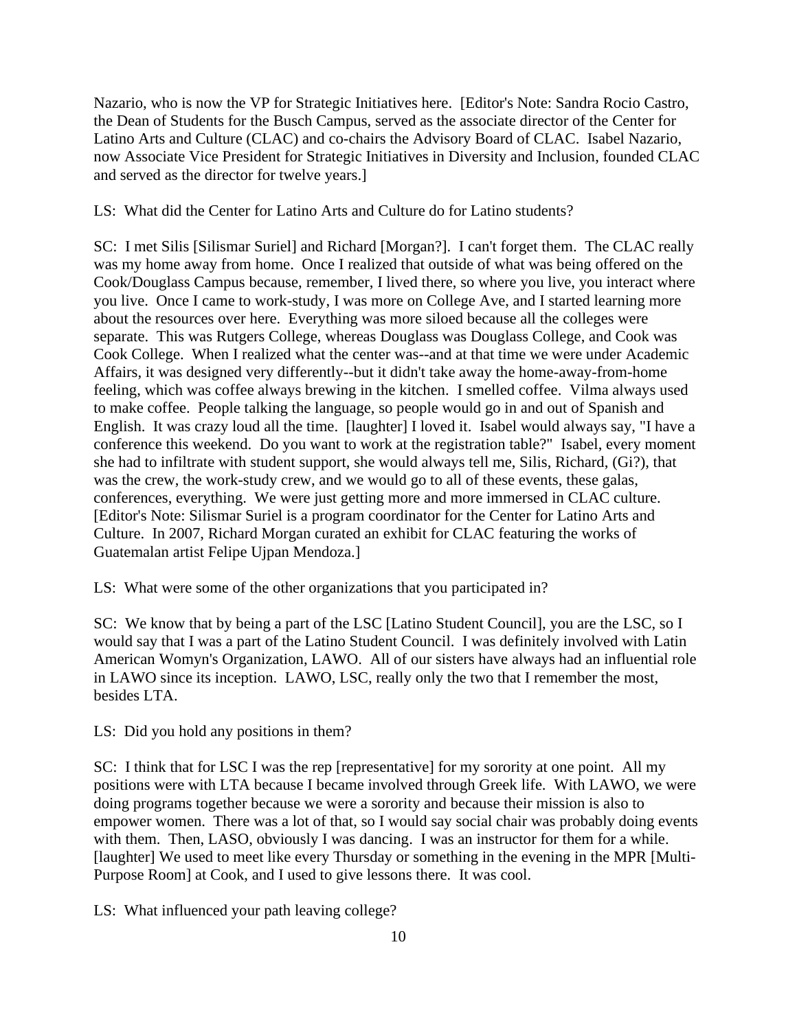Nazario, who is now the VP for Strategic Initiatives here. [Editor's Note: Sandra Rocio Castro, the Dean of Students for the Busch Campus, served as the associate director of the Center for Latino Arts and Culture (CLAC) and co-chairs the Advisory Board of CLAC. Isabel Nazario, now Associate Vice President for Strategic Initiatives in Diversity and Inclusion, founded CLAC and served as the director for twelve years.]

LS: What did the Center for Latino Arts and Culture do for Latino students?

SC: I met Silis [Silismar Suriel] and Richard [Morgan?]. I can't forget them. The CLAC really was my home away from home. Once I realized that outside of what was being offered on the Cook/Douglass Campus because, remember, I lived there, so where you live, you interact where you live. Once I came to work-study, I was more on College Ave, and I started learning more about the resources over here. Everything was more siloed because all the colleges were separate. This was Rutgers College, whereas Douglass was Douglass College, and Cook was Cook College. When I realized what the center was--and at that time we were under Academic Affairs, it was designed very differently--but it didn't take away the home-away-from-home feeling, which was coffee always brewing in the kitchen. I smelled coffee. Vilma always used to make coffee. People talking the language, so people would go in and out of Spanish and English. It was crazy loud all the time. [laughter] I loved it. Isabel would always say, "I have a conference this weekend. Do you want to work at the registration table?" Isabel, every moment she had to infiltrate with student support, she would always tell me, Silis, Richard, (Gi?), that was the crew, the work-study crew, and we would go to all of these events, these galas, conferences, everything. We were just getting more and more immersed in CLAC culture. [Editor's Note: Silismar Suriel is a program coordinator for the Center for Latino Arts and Culture. In 2007, Richard Morgan curated an exhibit for CLAC featuring the works of Guatemalan artist Felipe Ujpan Mendoza.]

LS: What were some of the other organizations that you participated in?

SC: We know that by being a part of the LSC [Latino Student Council], you are the LSC, so I would say that I was a part of the Latino Student Council. I was definitely involved with Latin American Womyn's Organization, LAWO. All of our sisters have always had an influential role in LAWO since its inception. LAWO, LSC, really only the two that I remember the most, besides LTA.

LS: Did you hold any positions in them?

SC: I think that for LSC I was the rep [representative] for my sorority at one point. All my positions were with LTA because I became involved through Greek life. With LAWO, we were doing programs together because we were a sorority and because their mission is also to empower women. There was a lot of that, so I would say social chair was probably doing events with them. Then, LASO, obviously I was dancing. I was an instructor for them for a while. [laughter] We used to meet like every Thursday or something in the evening in the MPR [Multi-Purpose Room] at Cook, and I used to give lessons there. It was cool.

LS: What influenced your path leaving college?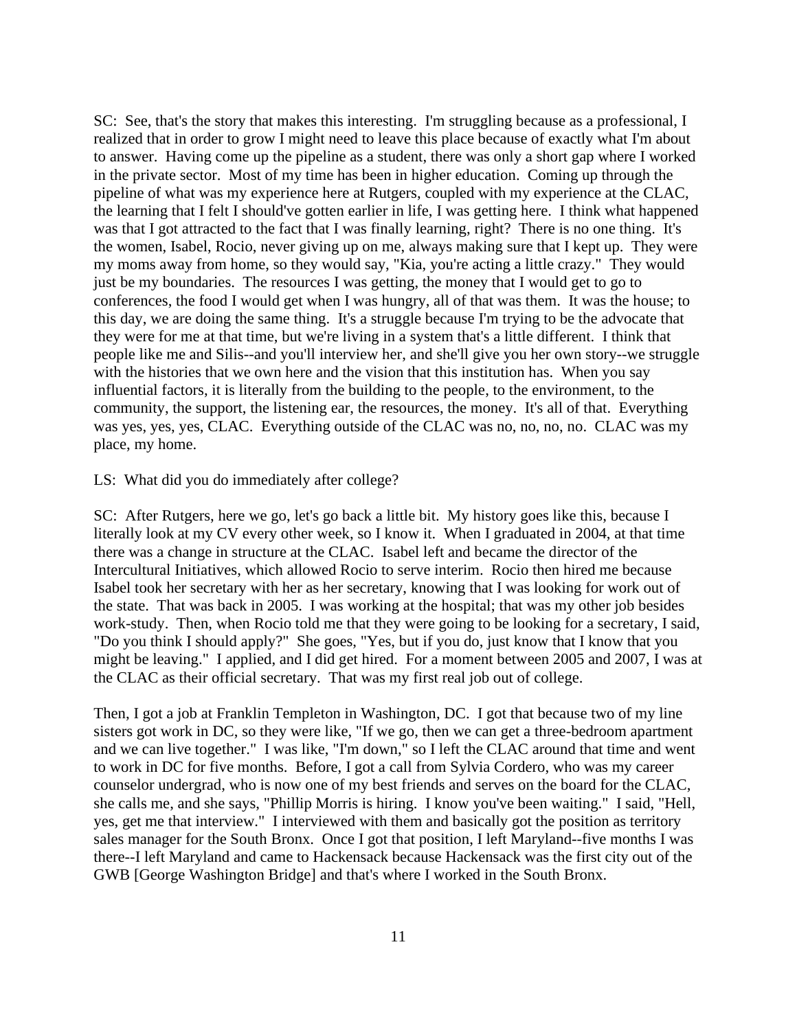SC: See, that's the story that makes this interesting. I'm struggling because as a professional, I realized that in order to grow I might need to leave this place because of exactly what I'm about to answer. Having come up the pipeline as a student, there was only a short gap where I worked in the private sector. Most of my time has been in higher education. Coming up through the pipeline of what was my experience here at Rutgers, coupled with my experience at the CLAC, the learning that I felt I should've gotten earlier in life, I was getting here. I think what happened was that I got attracted to the fact that I was finally learning, right? There is no one thing. It's the women, Isabel, Rocio, never giving up on me, always making sure that I kept up. They were my moms away from home, so they would say, "Kia, you're acting a little crazy." They would just be my boundaries. The resources I was getting, the money that I would get to go to conferences, the food I would get when I was hungry, all of that was them. It was the house; to this day, we are doing the same thing. It's a struggle because I'm trying to be the advocate that they were for me at that time, but we're living in a system that's a little different. I think that people like me and Silis--and you'll interview her, and she'll give you her own story--we struggle with the histories that we own here and the vision that this institution has. When you say influential factors, it is literally from the building to the people, to the environment, to the community, the support, the listening ear, the resources, the money. It's all of that. Everything was yes, yes, yes, CLAC. Everything outside of the CLAC was no, no, no, no. CLAC was my place, my home.

LS: What did you do immediately after college?

SC: After Rutgers, here we go, let's go back a little bit. My history goes like this, because I literally look at my CV every other week, so I know it. When I graduated in 2004, at that time there was a change in structure at the CLAC. Isabel left and became the director of the Intercultural Initiatives, which allowed Rocio to serve interim. Rocio then hired me because Isabel took her secretary with her as her secretary, knowing that I was looking for work out of the state. That was back in 2005. I was working at the hospital; that was my other job besides work-study. Then, when Rocio told me that they were going to be looking for a secretary, I said, "Do you think I should apply?" She goes, "Yes, but if you do, just know that I know that you might be leaving." I applied, and I did get hired. For a moment between 2005 and 2007, I was at the CLAC as their official secretary. That was my first real job out of college.

Then, I got a job at Franklin Templeton in Washington, DC. I got that because two of my line sisters got work in DC, so they were like, "If we go, then we can get a three-bedroom apartment and we can live together." I was like, "I'm down," so I left the CLAC around that time and went to work in DC for five months. Before, I got a call from Sylvia Cordero, who was my career counselor undergrad, who is now one of my best friends and serves on the board for the CLAC, she calls me, and she says, "Phillip Morris is hiring. I know you've been waiting." I said, "Hell, yes, get me that interview." I interviewed with them and basically got the position as territory sales manager for the South Bronx. Once I got that position, I left Maryland--five months I was there--I left Maryland and came to Hackensack because Hackensack was the first city out of the GWB [George Washington Bridge] and that's where I worked in the South Bronx.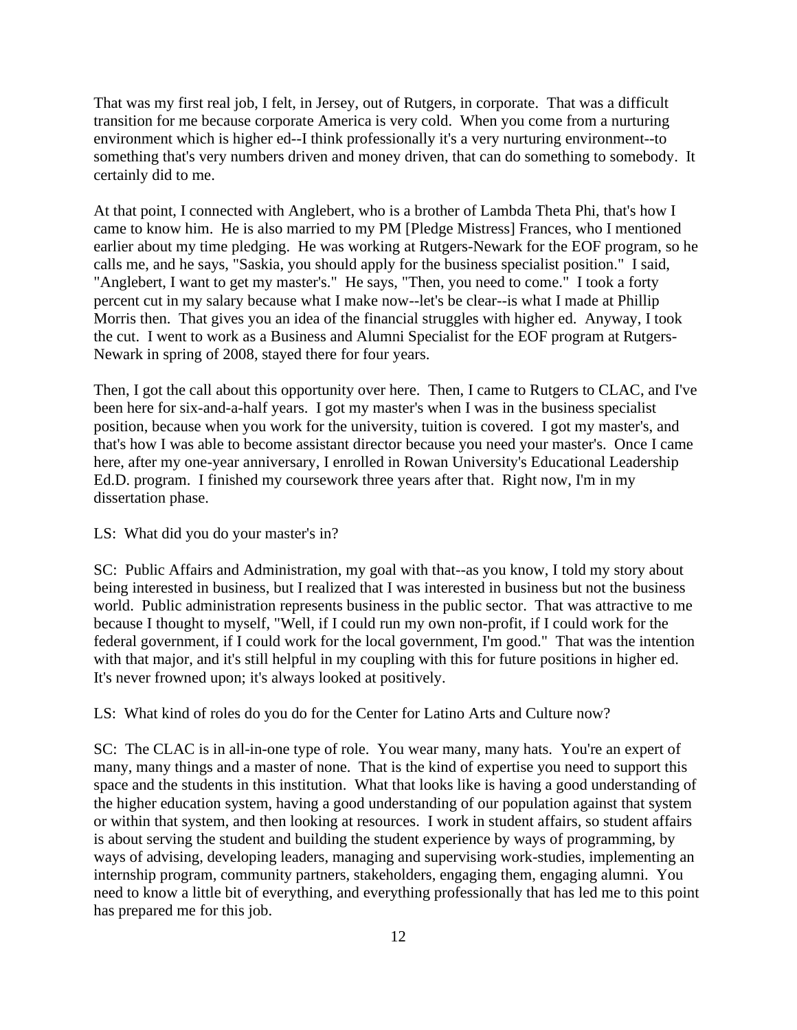That was my first real job, I felt, in Jersey, out of Rutgers, in corporate. That was a difficult transition for me because corporate America is very cold. When you come from a nurturing environment which is higher ed--I think professionally it's a very nurturing environment--to something that's very numbers driven and money driven, that can do something to somebody. It certainly did to me.

At that point, I connected with Anglebert, who is a brother of Lambda Theta Phi, that's how I came to know him. He is also married to my PM [Pledge Mistress] Frances, who I mentioned earlier about my time pledging. He was working at Rutgers-Newark for the EOF program, so he calls me, and he says, "Saskia, you should apply for the business specialist position." I said, "Anglebert, I want to get my master's." He says, "Then, you need to come." I took a forty percent cut in my salary because what I make now--let's be clear--is what I made at Phillip Morris then. That gives you an idea of the financial struggles with higher ed. Anyway, I took the cut. I went to work as a Business and Alumni Specialist for the EOF program at Rutgers-Newark in spring of 2008, stayed there for four years.

Then, I got the call about this opportunity over here. Then, I came to Rutgers to CLAC, and I've been here for six-and-a-half years. I got my master's when I was in the business specialist position, because when you work for the university, tuition is covered. I got my master's, and that's how I was able to become assistant director because you need your master's. Once I came here, after my one-year anniversary, I enrolled in Rowan University's Educational Leadership Ed.D. program. I finished my coursework three years after that. Right now, I'm in my dissertation phase.

### LS: What did you do your master's in?

SC: Public Affairs and Administration, my goal with that--as you know, I told my story about being interested in business, but I realized that I was interested in business but not the business world. Public administration represents business in the public sector. That was attractive to me because I thought to myself, "Well, if I could run my own non-profit, if I could work for the federal government, if I could work for the local government, I'm good." That was the intention with that major, and it's still helpful in my coupling with this for future positions in higher ed. It's never frowned upon; it's always looked at positively.

LS: What kind of roles do you do for the Center for Latino Arts and Culture now?

SC: The CLAC is in all-in-one type of role. You wear many, many hats. You're an expert of many, many things and a master of none. That is the kind of expertise you need to support this space and the students in this institution. What that looks like is having a good understanding of the higher education system, having a good understanding of our population against that system or within that system, and then looking at resources. I work in student affairs, so student affairs is about serving the student and building the student experience by ways of programming, by ways of advising, developing leaders, managing and supervising work-studies, implementing an internship program, community partners, stakeholders, engaging them, engaging alumni. You need to know a little bit of everything, and everything professionally that has led me to this point has prepared me for this job.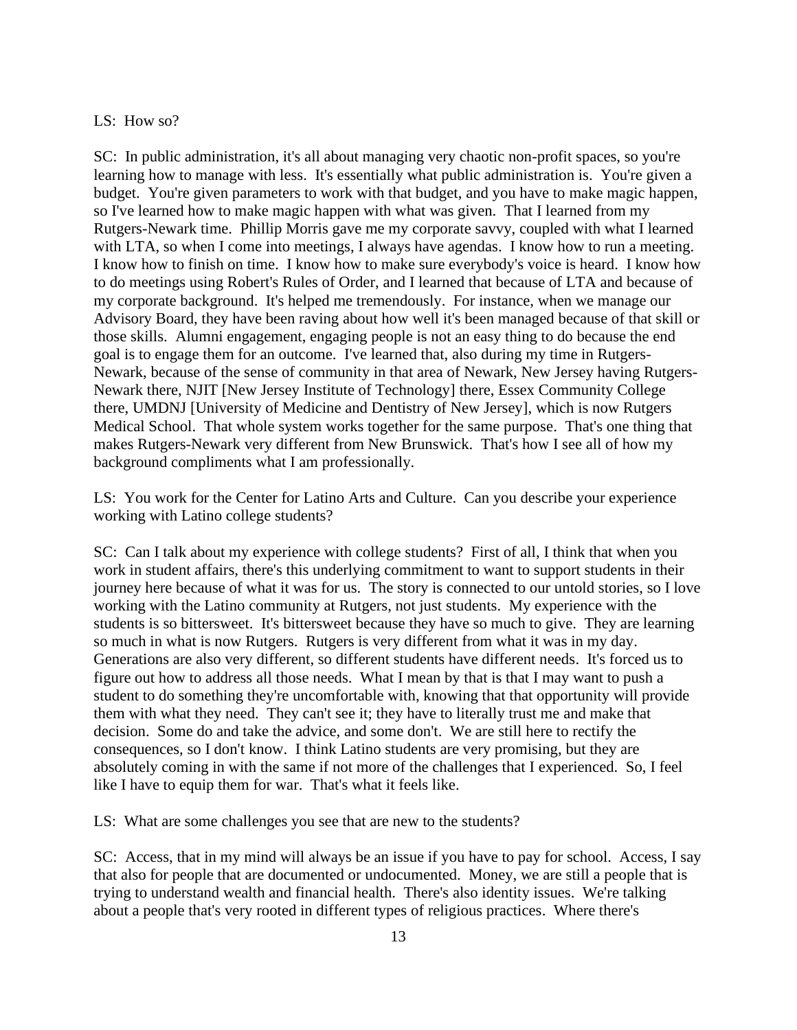### LS: How so?

SC: In public administration, it's all about managing very chaotic non-profit spaces, so you're learning how to manage with less. It's essentially what public administration is. You're given a budget. You're given parameters to work with that budget, and you have to make magic happen, so I've learned how to make magic happen with what was given. That I learned from my Rutgers-Newark time. Phillip Morris gave me my corporate savvy, coupled with what I learned with LTA, so when I come into meetings, I always have agendas. I know how to run a meeting. I know how to finish on time. I know how to make sure everybody's voice is heard. I know how to do meetings using Robert's Rules of Order, and I learned that because of LTA and because of my corporate background. It's helped me tremendously. For instance, when we manage our Advisory Board, they have been raving about how well it's been managed because of that skill or those skills. Alumni engagement, engaging people is not an easy thing to do because the end goal is to engage them for an outcome. I've learned that, also during my time in Rutgers-Newark, because of the sense of community in that area of Newark, New Jersey having Rutgers-Newark there, NJIT [New Jersey Institute of Technology] there, Essex Community College there, UMDNJ [University of Medicine and Dentistry of New Jersey], which is now Rutgers Medical School. That whole system works together for the same purpose. That's one thing that makes Rutgers-Newark very different from New Brunswick. That's how I see all of how my background compliments what I am professionally.

LS: You work for the Center for Latino Arts and Culture. Can you describe your experience working with Latino college students?

SC: Can I talk about my experience with college students? First of all, I think that when you work in student affairs, there's this underlying commitment to want to support students in their journey here because of what it was for us. The story is connected to our untold stories, so I love working with the Latino community at Rutgers, not just students. My experience with the students is so bittersweet. It's bittersweet because they have so much to give. They are learning so much in what is now Rutgers. Rutgers is very different from what it was in my day. Generations are also very different, so different students have different needs. It's forced us to figure out how to address all those needs. What I mean by that is that I may want to push a student to do something they're uncomfortable with, knowing that that opportunity will provide them with what they need. They can't see it; they have to literally trust me and make that decision. Some do and take the advice, and some don't. We are still here to rectify the consequences, so I don't know. I think Latino students are very promising, but they are absolutely coming in with the same if not more of the challenges that I experienced. So, I feel like I have to equip them for war. That's what it feels like.

LS: What are some challenges you see that are new to the students?

SC: Access, that in my mind will always be an issue if you have to pay for school. Access, I say that also for people that are documented or undocumented. Money, we are still a people that is trying to understand wealth and financial health. There's also identity issues. We're talking about a people that's very rooted in different types of religious practices. Where there's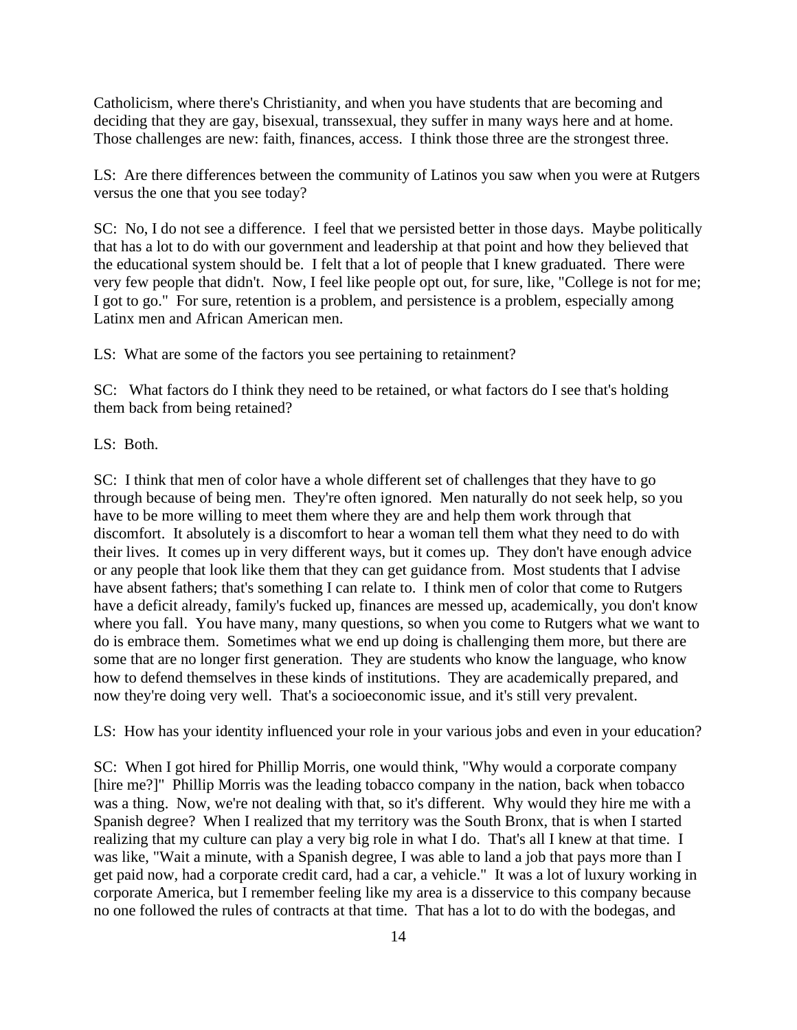Catholicism, where there's Christianity, and when you have students that are becoming and deciding that they are gay, bisexual, transsexual, they suffer in many ways here and at home. Those challenges are new: faith, finances, access. I think those three are the strongest three.

LS: Are there differences between the community of Latinos you saw when you were at Rutgers versus the one that you see today?

SC: No, I do not see a difference. I feel that we persisted better in those days. Maybe politically that has a lot to do with our government and leadership at that point and how they believed that the educational system should be. I felt that a lot of people that I knew graduated. There were very few people that didn't. Now, I feel like people opt out, for sure, like, "College is not for me; I got to go." For sure, retention is a problem, and persistence is a problem, especially among Latinx men and African American men.

LS: What are some of the factors you see pertaining to retainment?

SC: What factors do I think they need to be retained, or what factors do I see that's holding them back from being retained?

LS: Both.

SC: I think that men of color have a whole different set of challenges that they have to go through because of being men. They're often ignored. Men naturally do not seek help, so you have to be more willing to meet them where they are and help them work through that discomfort. It absolutely is a discomfort to hear a woman tell them what they need to do with their lives. It comes up in very different ways, but it comes up. They don't have enough advice or any people that look like them that they can get guidance from. Most students that I advise have absent fathers; that's something I can relate to. I think men of color that come to Rutgers have a deficit already, family's fucked up, finances are messed up, academically, you don't know where you fall. You have many, many questions, so when you come to Rutgers what we want to do is embrace them. Sometimes what we end up doing is challenging them more, but there are some that are no longer first generation. They are students who know the language, who know how to defend themselves in these kinds of institutions. They are academically prepared, and now they're doing very well. That's a socioeconomic issue, and it's still very prevalent.

LS: How has your identity influenced your role in your various jobs and even in your education?

SC: When I got hired for Phillip Morris, one would think, "Why would a corporate company [hire me?]" Phillip Morris was the leading tobacco company in the nation, back when tobacco was a thing. Now, we're not dealing with that, so it's different. Why would they hire me with a Spanish degree? When I realized that my territory was the South Bronx, that is when I started realizing that my culture can play a very big role in what I do. That's all I knew at that time. I was like, "Wait a minute, with a Spanish degree, I was able to land a job that pays more than I get paid now, had a corporate credit card, had a car, a vehicle." It was a lot of luxury working in corporate America, but I remember feeling like my area is a disservice to this company because no one followed the rules of contracts at that time. That has a lot to do with the bodegas, and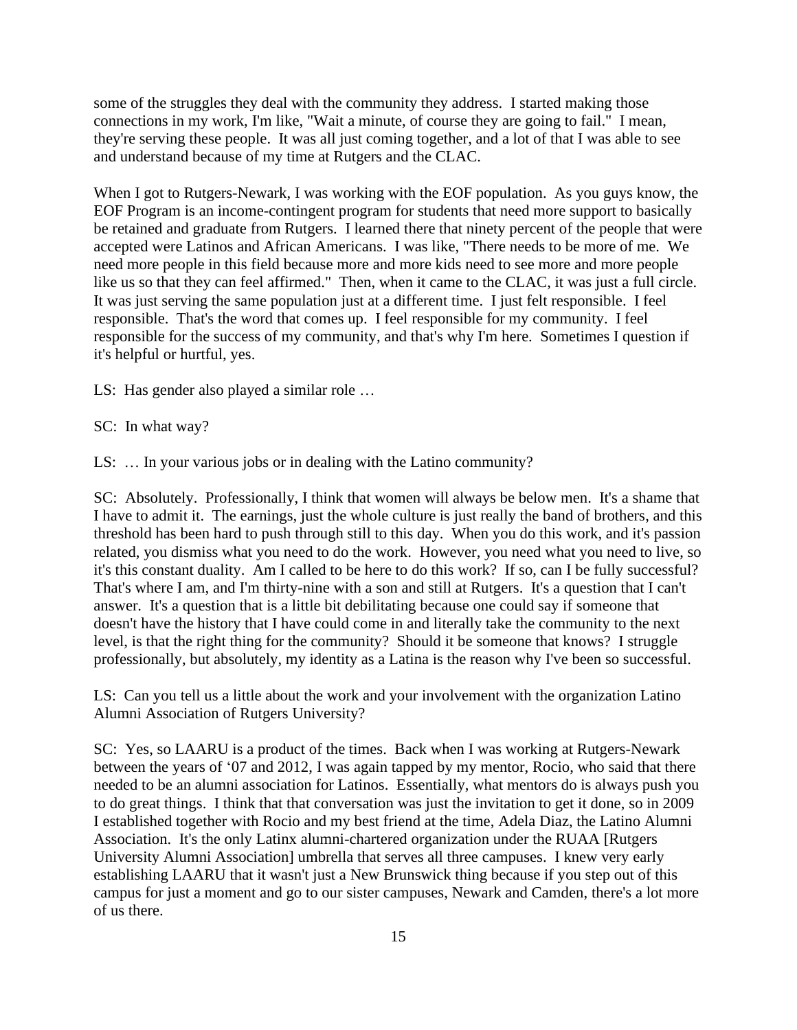some of the struggles they deal with the community they address. I started making those connections in my work, I'm like, "Wait a minute, of course they are going to fail." I mean, they're serving these people. It was all just coming together, and a lot of that I was able to see and understand because of my time at Rutgers and the CLAC.

When I got to Rutgers-Newark, I was working with the EOF population. As you guys know, the EOF Program is an income-contingent program for students that need more support to basically be retained and graduate from Rutgers. I learned there that ninety percent of the people that were accepted were Latinos and African Americans. I was like, "There needs to be more of me. We need more people in this field because more and more kids need to see more and more people like us so that they can feel affirmed." Then, when it came to the CLAC, it was just a full circle. It was just serving the same population just at a different time. I just felt responsible. I feel responsible. That's the word that comes up. I feel responsible for my community. I feel responsible for the success of my community, and that's why I'm here. Sometimes I question if it's helpful or hurtful, yes.

LS: Has gender also played a similar role …

SC: In what way?

LS: … In your various jobs or in dealing with the Latino community?

SC: Absolutely. Professionally, I think that women will always be below men. It's a shame that I have to admit it. The earnings, just the whole culture is just really the band of brothers, and this threshold has been hard to push through still to this day. When you do this work, and it's passion related, you dismiss what you need to do the work. However, you need what you need to live, so it's this constant duality. Am I called to be here to do this work? If so, can I be fully successful? That's where I am, and I'm thirty-nine with a son and still at Rutgers. It's a question that I can't answer. It's a question that is a little bit debilitating because one could say if someone that doesn't have the history that I have could come in and literally take the community to the next level, is that the right thing for the community? Should it be someone that knows? I struggle professionally, but absolutely, my identity as a Latina is the reason why I've been so successful.

LS: Can you tell us a little about the work and your involvement with the organization Latino Alumni Association of Rutgers University?

SC: Yes, so LAARU is a product of the times. Back when I was working at Rutgers-Newark between the years of '07 and 2012, I was again tapped by my mentor, Rocio, who said that there needed to be an alumni association for Latinos. Essentially, what mentors do is always push you to do great things. I think that that conversation was just the invitation to get it done, so in 2009 I established together with Rocio and my best friend at the time, Adela Diaz, the Latino Alumni Association. It's the only Latinx alumni-chartered organization under the RUAA [Rutgers University Alumni Association] umbrella that serves all three campuses. I knew very early establishing LAARU that it wasn't just a New Brunswick thing because if you step out of this campus for just a moment and go to our sister campuses, Newark and Camden, there's a lot more of us there.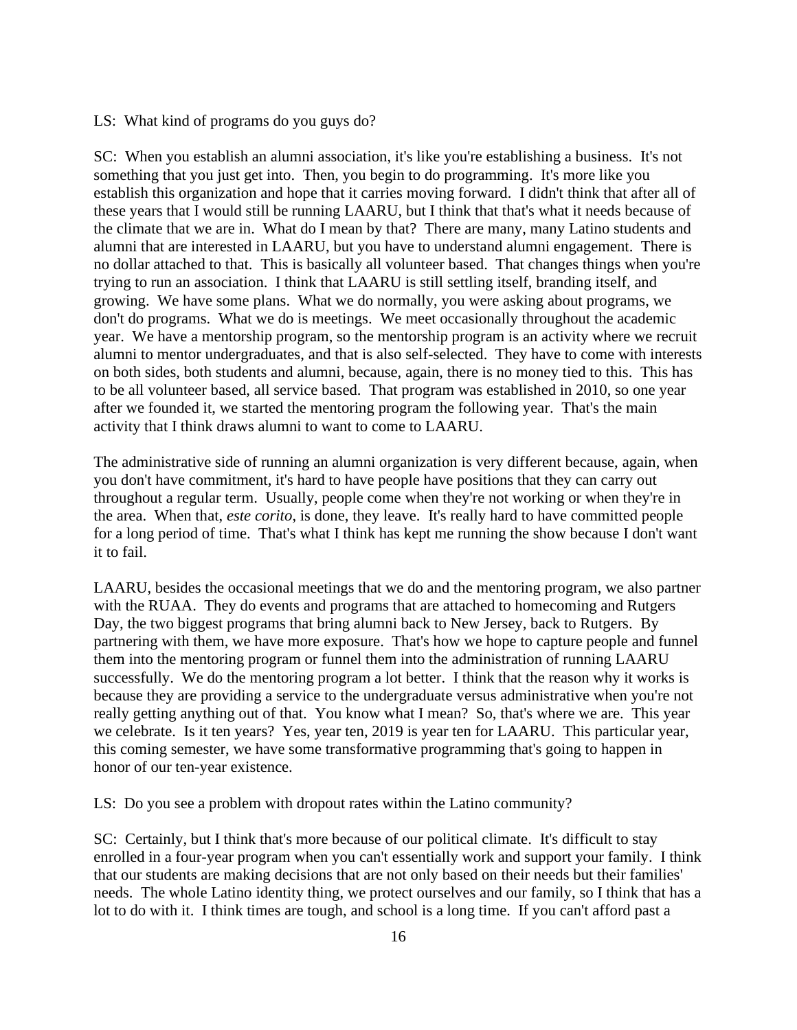### LS: What kind of programs do you guys do?

SC: When you establish an alumni association, it's like you're establishing a business. It's not something that you just get into. Then, you begin to do programming. It's more like you establish this organization and hope that it carries moving forward. I didn't think that after all of these years that I would still be running LAARU, but I think that that's what it needs because of the climate that we are in. What do I mean by that? There are many, many Latino students and alumni that are interested in LAARU, but you have to understand alumni engagement. There is no dollar attached to that. This is basically all volunteer based. That changes things when you're trying to run an association. I think that LAARU is still settling itself, branding itself, and growing. We have some plans. What we do normally, you were asking about programs, we don't do programs. What we do is meetings. We meet occasionally throughout the academic year. We have a mentorship program, so the mentorship program is an activity where we recruit alumni to mentor undergraduates, and that is also self-selected. They have to come with interests on both sides, both students and alumni, because, again, there is no money tied to this. This has to be all volunteer based, all service based. That program was established in 2010, so one year after we founded it, we started the mentoring program the following year. That's the main activity that I think draws alumni to want to come to LAARU.

The administrative side of running an alumni organization is very different because, again, when you don't have commitment, it's hard to have people have positions that they can carry out throughout a regular term. Usually, people come when they're not working or when they're in the area. When that, *este corito*, is done, they leave. It's really hard to have committed people for a long period of time. That's what I think has kept me running the show because I don't want it to fail.

LAARU, besides the occasional meetings that we do and the mentoring program, we also partner with the RUAA. They do events and programs that are attached to homecoming and Rutgers Day, the two biggest programs that bring alumni back to New Jersey, back to Rutgers. By partnering with them, we have more exposure. That's how we hope to capture people and funnel them into the mentoring program or funnel them into the administration of running LAARU successfully. We do the mentoring program a lot better. I think that the reason why it works is because they are providing a service to the undergraduate versus administrative when you're not really getting anything out of that. You know what I mean? So, that's where we are. This year we celebrate. Is it ten years? Yes, year ten, 2019 is year ten for LAARU. This particular year, this coming semester, we have some transformative programming that's going to happen in honor of our ten-year existence.

LS: Do you see a problem with dropout rates within the Latino community?

SC: Certainly, but I think that's more because of our political climate. It's difficult to stay enrolled in a four-year program when you can't essentially work and support your family. I think that our students are making decisions that are not only based on their needs but their families' needs. The whole Latino identity thing, we protect ourselves and our family, so I think that has a lot to do with it. I think times are tough, and school is a long time. If you can't afford past a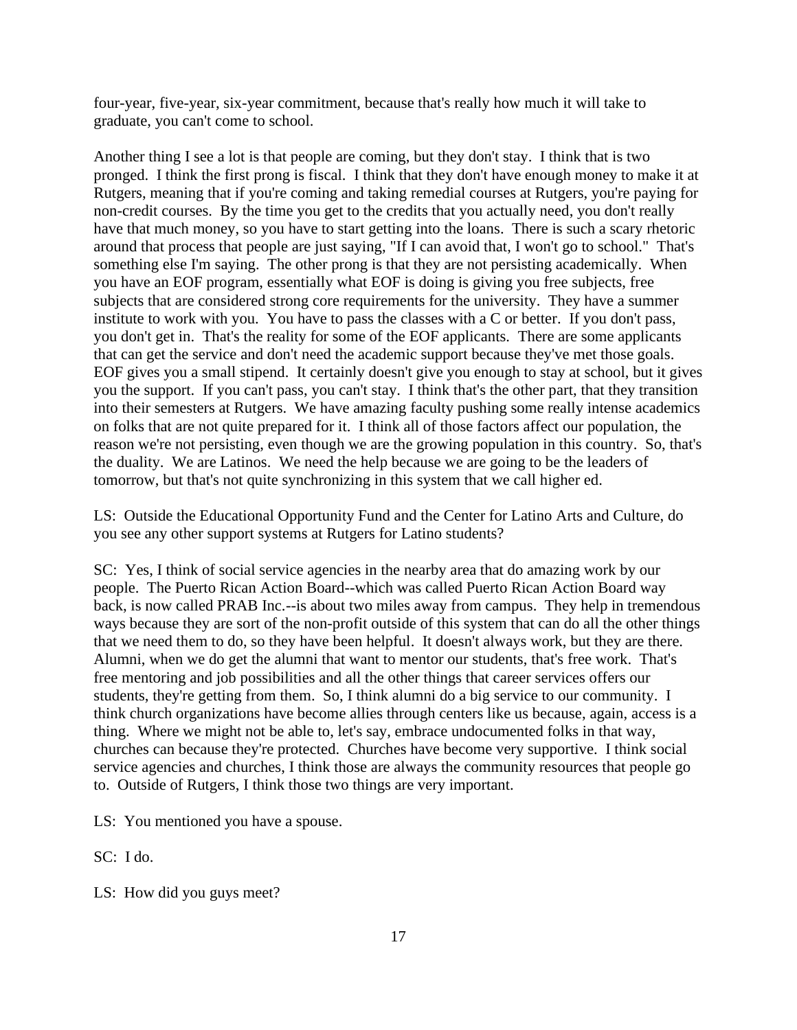four-year, five-year, six-year commitment, because that's really how much it will take to graduate, you can't come to school.

Another thing I see a lot is that people are coming, but they don't stay. I think that is two pronged. I think the first prong is fiscal. I think that they don't have enough money to make it at Rutgers, meaning that if you're coming and taking remedial courses at Rutgers, you're paying for non-credit courses. By the time you get to the credits that you actually need, you don't really have that much money, so you have to start getting into the loans. There is such a scary rhetoric around that process that people are just saying, "If I can avoid that, I won't go to school." That's something else I'm saying. The other prong is that they are not persisting academically. When you have an EOF program, essentially what EOF is doing is giving you free subjects, free subjects that are considered strong core requirements for the university. They have a summer institute to work with you. You have to pass the classes with a C or better. If you don't pass, you don't get in. That's the reality for some of the EOF applicants. There are some applicants that can get the service and don't need the academic support because they've met those goals. EOF gives you a small stipend. It certainly doesn't give you enough to stay at school, but it gives you the support. If you can't pass, you can't stay. I think that's the other part, that they transition into their semesters at Rutgers. We have amazing faculty pushing some really intense academics on folks that are not quite prepared for it. I think all of those factors affect our population, the reason we're not persisting, even though we are the growing population in this country. So, that's the duality. We are Latinos. We need the help because we are going to be the leaders of tomorrow, but that's not quite synchronizing in this system that we call higher ed.

LS: Outside the Educational Opportunity Fund and the Center for Latino Arts and Culture, do you see any other support systems at Rutgers for Latino students?

SC: Yes, I think of social service agencies in the nearby area that do amazing work by our people. The Puerto Rican Action Board--which was called Puerto Rican Action Board way back, is now called PRAB Inc.--is about two miles away from campus. They help in tremendous ways because they are sort of the non-profit outside of this system that can do all the other things that we need them to do, so they have been helpful. It doesn't always work, but they are there. Alumni, when we do get the alumni that want to mentor our students, that's free work. That's free mentoring and job possibilities and all the other things that career services offers our students, they're getting from them. So, I think alumni do a big service to our community. I think church organizations have become allies through centers like us because, again, access is a thing. Where we might not be able to, let's say, embrace undocumented folks in that way, churches can because they're protected. Churches have become very supportive. I think social service agencies and churches, I think those are always the community resources that people go to. Outside of Rutgers, I think those two things are very important.

LS: You mentioned you have a spouse.

SC: I do.

LS: How did you guys meet?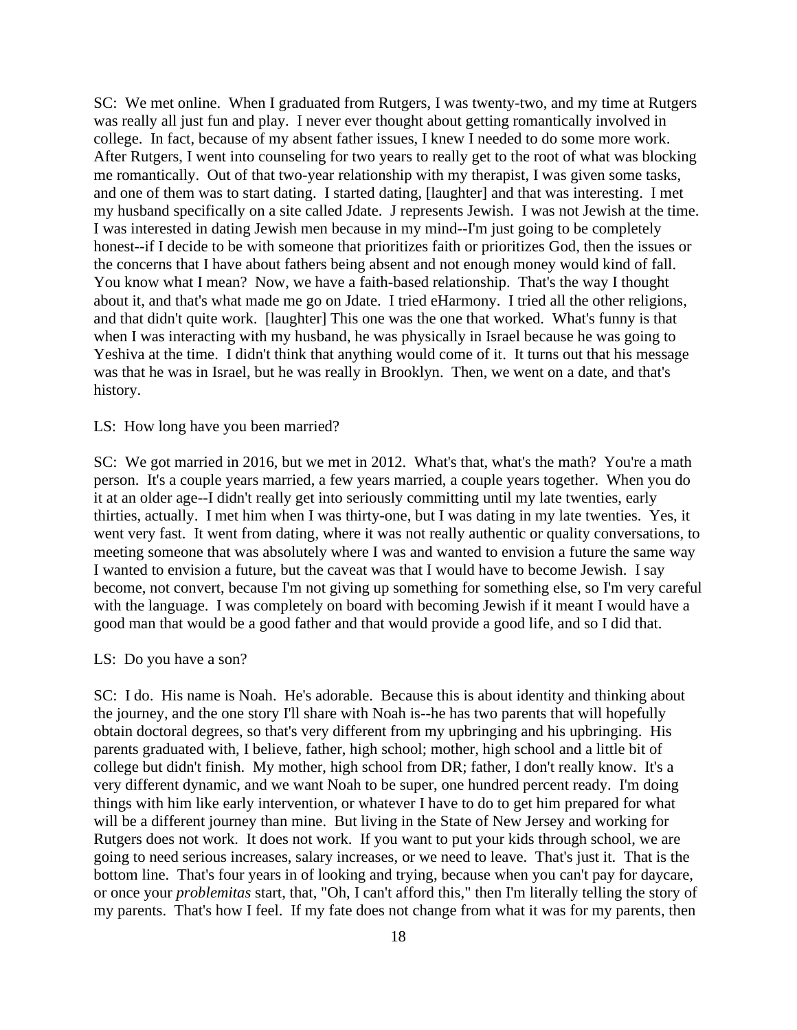SC: We met online. When I graduated from Rutgers, I was twenty-two, and my time at Rutgers was really all just fun and play. I never ever thought about getting romantically involved in college. In fact, because of my absent father issues, I knew I needed to do some more work. After Rutgers, I went into counseling for two years to really get to the root of what was blocking me romantically. Out of that two-year relationship with my therapist, I was given some tasks, and one of them was to start dating. I started dating, [laughter] and that was interesting. I met my husband specifically on a site called Jdate. J represents Jewish. I was not Jewish at the time. I was interested in dating Jewish men because in my mind--I'm just going to be completely honest--if I decide to be with someone that prioritizes faith or prioritizes God, then the issues or the concerns that I have about fathers being absent and not enough money would kind of fall. You know what I mean? Now, we have a faith-based relationship. That's the way I thought about it, and that's what made me go on Jdate. I tried eHarmony. I tried all the other religions, and that didn't quite work. [laughter] This one was the one that worked. What's funny is that when I was interacting with my husband, he was physically in Israel because he was going to Yeshiva at the time. I didn't think that anything would come of it. It turns out that his message was that he was in Israel, but he was really in Brooklyn. Then, we went on a date, and that's history.

#### LS: How long have you been married?

SC: We got married in 2016, but we met in 2012. What's that, what's the math? You're a math person. It's a couple years married, a few years married, a couple years together. When you do it at an older age--I didn't really get into seriously committing until my late twenties, early thirties, actually. I met him when I was thirty-one, but I was dating in my late twenties. Yes, it went very fast. It went from dating, where it was not really authentic or quality conversations, to meeting someone that was absolutely where I was and wanted to envision a future the same way I wanted to envision a future, but the caveat was that I would have to become Jewish. I say become, not convert, because I'm not giving up something for something else, so I'm very careful with the language. I was completely on board with becoming Jewish if it meant I would have a good man that would be a good father and that would provide a good life, and so I did that.

#### LS: Do you have a son?

SC: I do. His name is Noah. He's adorable. Because this is about identity and thinking about the journey, and the one story I'll share with Noah is--he has two parents that will hopefully obtain doctoral degrees, so that's very different from my upbringing and his upbringing. His parents graduated with, I believe, father, high school; mother, high school and a little bit of college but didn't finish. My mother, high school from DR; father, I don't really know. It's a very different dynamic, and we want Noah to be super, one hundred percent ready. I'm doing things with him like early intervention, or whatever I have to do to get him prepared for what will be a different journey than mine. But living in the State of New Jersey and working for Rutgers does not work. It does not work. If you want to put your kids through school, we are going to need serious increases, salary increases, or we need to leave. That's just it. That is the bottom line. That's four years in of looking and trying, because when you can't pay for daycare, or once your *problemitas* start, that, "Oh, I can't afford this," then I'm literally telling the story of my parents. That's how I feel. If my fate does not change from what it was for my parents, then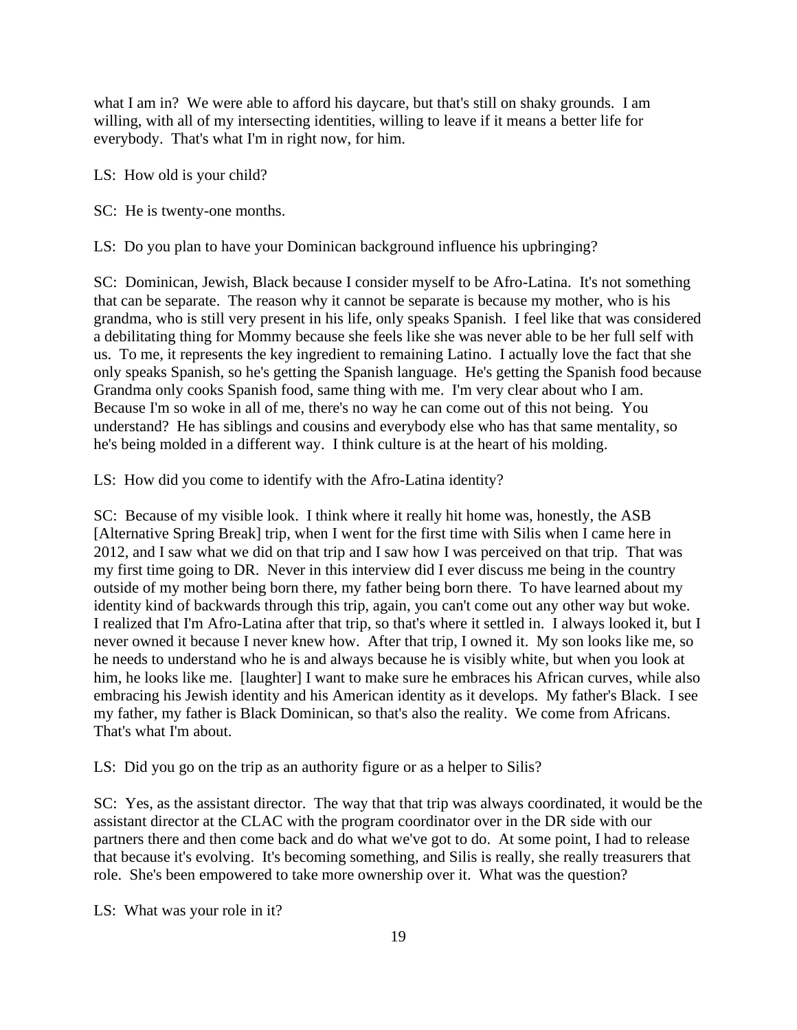what I am in? We were able to afford his daycare, but that's still on shaky grounds. I am willing, with all of my intersecting identities, willing to leave if it means a better life for everybody. That's what I'm in right now, for him.

LS: How old is your child?

SC: He is twenty-one months.

LS: Do you plan to have your Dominican background influence his upbringing?

SC: Dominican, Jewish, Black because I consider myself to be Afro-Latina. It's not something that can be separate. The reason why it cannot be separate is because my mother, who is his grandma, who is still very present in his life, only speaks Spanish. I feel like that was considered a debilitating thing for Mommy because she feels like she was never able to be her full self with us. To me, it represents the key ingredient to remaining Latino. I actually love the fact that she only speaks Spanish, so he's getting the Spanish language. He's getting the Spanish food because Grandma only cooks Spanish food, same thing with me. I'm very clear about who I am. Because I'm so woke in all of me, there's no way he can come out of this not being. You understand? He has siblings and cousins and everybody else who has that same mentality, so he's being molded in a different way. I think culture is at the heart of his molding.

LS: How did you come to identify with the Afro-Latina identity?

SC: Because of my visible look. I think where it really hit home was, honestly, the ASB [Alternative Spring Break] trip, when I went for the first time with Silis when I came here in 2012, and I saw what we did on that trip and I saw how I was perceived on that trip. That was my first time going to DR. Never in this interview did I ever discuss me being in the country outside of my mother being born there, my father being born there. To have learned about my identity kind of backwards through this trip, again, you can't come out any other way but woke. I realized that I'm Afro-Latina after that trip, so that's where it settled in. I always looked it, but I never owned it because I never knew how. After that trip, I owned it. My son looks like me, so he needs to understand who he is and always because he is visibly white, but when you look at him, he looks like me. [laughter] I want to make sure he embraces his African curves, while also embracing his Jewish identity and his American identity as it develops. My father's Black. I see my father, my father is Black Dominican, so that's also the reality. We come from Africans. That's what I'm about.

LS: Did you go on the trip as an authority figure or as a helper to Silis?

SC: Yes, as the assistant director. The way that that trip was always coordinated, it would be the assistant director at the CLAC with the program coordinator over in the DR side with our partners there and then come back and do what we've got to do. At some point, I had to release that because it's evolving. It's becoming something, and Silis is really, she really treasurers that role. She's been empowered to take more ownership over it. What was the question?

LS: What was your role in it?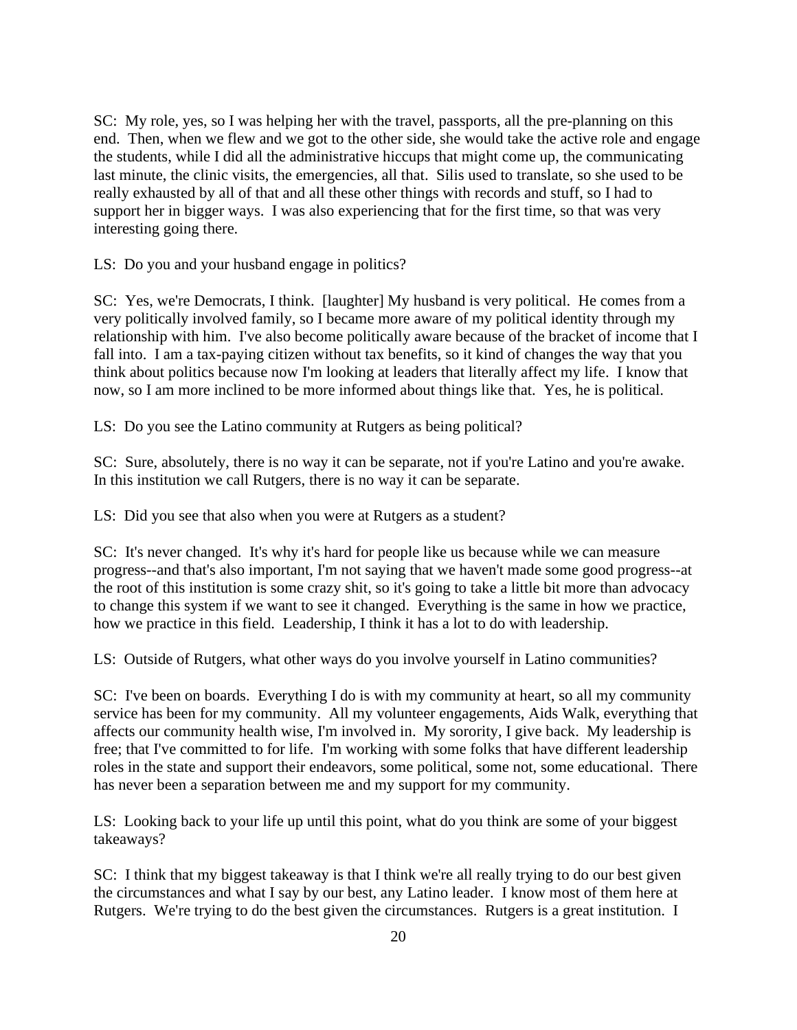SC: My role, yes, so I was helping her with the travel, passports, all the pre-planning on this end. Then, when we flew and we got to the other side, she would take the active role and engage the students, while I did all the administrative hiccups that might come up, the communicating last minute, the clinic visits, the emergencies, all that. Silis used to translate, so she used to be really exhausted by all of that and all these other things with records and stuff, so I had to support her in bigger ways. I was also experiencing that for the first time, so that was very interesting going there.

LS: Do you and your husband engage in politics?

SC: Yes, we're Democrats, I think. [laughter] My husband is very political. He comes from a very politically involved family, so I became more aware of my political identity through my relationship with him. I've also become politically aware because of the bracket of income that I fall into. I am a tax-paying citizen without tax benefits, so it kind of changes the way that you think about politics because now I'm looking at leaders that literally affect my life. I know that now, so I am more inclined to be more informed about things like that. Yes, he is political.

LS: Do you see the Latino community at Rutgers as being political?

SC: Sure, absolutely, there is no way it can be separate, not if you're Latino and you're awake. In this institution we call Rutgers, there is no way it can be separate.

LS: Did you see that also when you were at Rutgers as a student?

SC: It's never changed. It's why it's hard for people like us because while we can measure progress--and that's also important, I'm not saying that we haven't made some good progress--at the root of this institution is some crazy shit, so it's going to take a little bit more than advocacy to change this system if we want to see it changed. Everything is the same in how we practice, how we practice in this field. Leadership, I think it has a lot to do with leadership.

LS: Outside of Rutgers, what other ways do you involve yourself in Latino communities?

SC: I've been on boards. Everything I do is with my community at heart, so all my community service has been for my community. All my volunteer engagements, Aids Walk, everything that affects our community health wise, I'm involved in. My sorority, I give back. My leadership is free; that I've committed to for life. I'm working with some folks that have different leadership roles in the state and support their endeavors, some political, some not, some educational. There has never been a separation between me and my support for my community.

LS: Looking back to your life up until this point, what do you think are some of your biggest takeaways?

SC: I think that my biggest takeaway is that I think we're all really trying to do our best given the circumstances and what I say by our best, any Latino leader. I know most of them here at Rutgers. We're trying to do the best given the circumstances. Rutgers is a great institution. I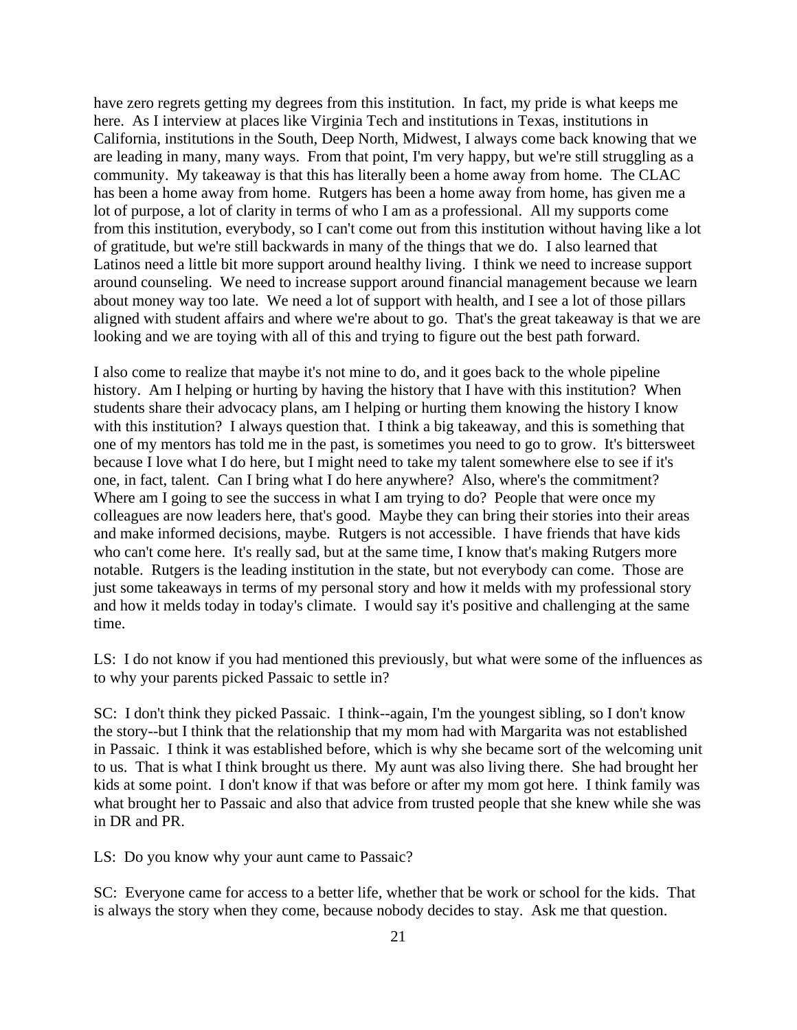have zero regrets getting my degrees from this institution. In fact, my pride is what keeps me here. As I interview at places like Virginia Tech and institutions in Texas, institutions in California, institutions in the South, Deep North, Midwest, I always come back knowing that we are leading in many, many ways. From that point, I'm very happy, but we're still struggling as a community. My takeaway is that this has literally been a home away from home. The CLAC has been a home away from home. Rutgers has been a home away from home, has given me a lot of purpose, a lot of clarity in terms of who I am as a professional. All my supports come from this institution, everybody, so I can't come out from this institution without having like a lot of gratitude, but we're still backwards in many of the things that we do. I also learned that Latinos need a little bit more support around healthy living. I think we need to increase support around counseling. We need to increase support around financial management because we learn about money way too late. We need a lot of support with health, and I see a lot of those pillars aligned with student affairs and where we're about to go. That's the great takeaway is that we are looking and we are toying with all of this and trying to figure out the best path forward.

I also come to realize that maybe it's not mine to do, and it goes back to the whole pipeline history. Am I helping or hurting by having the history that I have with this institution? When students share their advocacy plans, am I helping or hurting them knowing the history I know with this institution? I always question that. I think a big takeaway, and this is something that one of my mentors has told me in the past, is sometimes you need to go to grow. It's bittersweet because I love what I do here, but I might need to take my talent somewhere else to see if it's one, in fact, talent. Can I bring what I do here anywhere? Also, where's the commitment? Where am I going to see the success in what I am trying to do? People that were once my colleagues are now leaders here, that's good. Maybe they can bring their stories into their areas and make informed decisions, maybe. Rutgers is not accessible. I have friends that have kids who can't come here. It's really sad, but at the same time, I know that's making Rutgers more notable. Rutgers is the leading institution in the state, but not everybody can come. Those are just some takeaways in terms of my personal story and how it melds with my professional story and how it melds today in today's climate. I would say it's positive and challenging at the same time.

LS: I do not know if you had mentioned this previously, but what were some of the influences as to why your parents picked Passaic to settle in?

SC: I don't think they picked Passaic. I think--again, I'm the youngest sibling, so I don't know the story--but I think that the relationship that my mom had with Margarita was not established in Passaic. I think it was established before, which is why she became sort of the welcoming unit to us. That is what I think brought us there. My aunt was also living there. She had brought her kids at some point. I don't know if that was before or after my mom got here. I think family was what brought her to Passaic and also that advice from trusted people that she knew while she was in DR and PR.

LS: Do you know why your aunt came to Passaic?

SC: Everyone came for access to a better life, whether that be work or school for the kids. That is always the story when they come, because nobody decides to stay. Ask me that question.